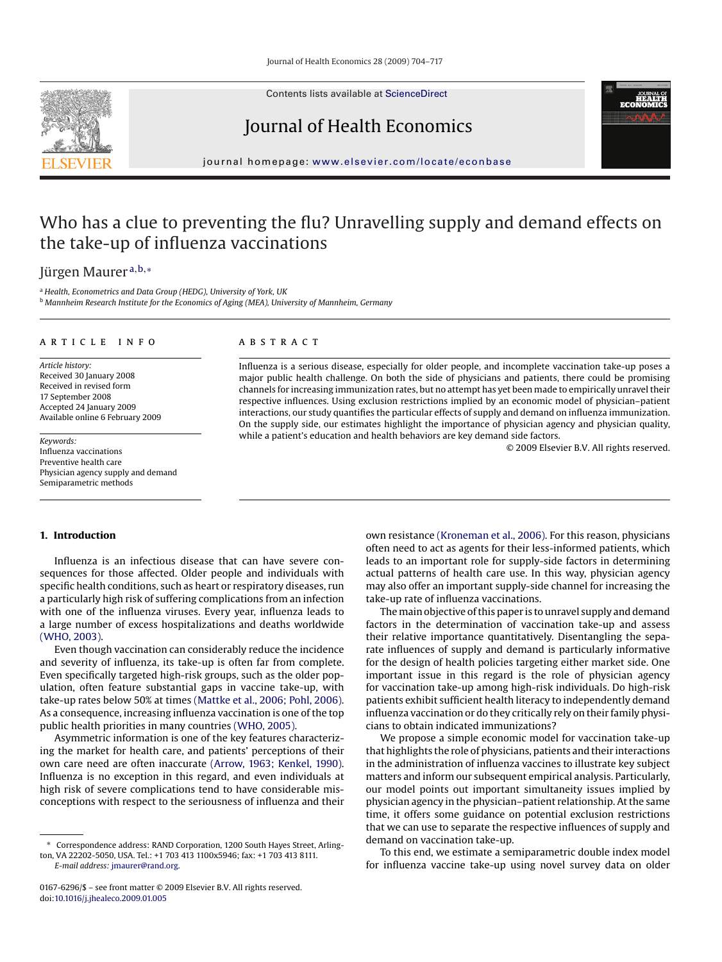Contents lists available at [ScienceDirect](http://www.sciencedirect.com/science/journal/01676296)

## Journal of Health Economics

journal homepage: [www.elsevier.com/locate/econbase](http://www.elsevier.com/locate/econbase)

## Who has a clue to preventing the flu? Unravelling supply and demand effects on the take-up of influenza vaccinations

Jürgen Maurer <sup>a</sup>,b,<sup>∗</sup>

<sup>a</sup> *Health, Econometrics and Data Group (HEDG), University of York, UK* <sup>b</sup> *Mannheim Research Institute for the Economics of Aging (MEA), University of Mannheim, Germany*

#### article info

*Article history:* Received 30 January 2008 Received in revised form 17 September 2008 Accepted 24 January 2009 Available online 6 February 2009

*Keywords:* Influenza vaccinations Preventive health care Physician agency supply and demand Semiparametric methods

#### **ABSTRACT**

Influenza is a serious disease, especially for older people, and incomplete vaccination take-up poses a major public health challenge. On both the side of physicians and patients, there could be promising channels for increasing immunization rates, but no attempt has yet been made to empirically unravel their respective influences. Using exclusion restrictions implied by an economic model of physician–patient interactions, our study quantifies the particular effects of supply and demand on influenza immunization. On the supply side, our estimates highlight the importance of physician agency and physician quality, while a patient's education and health behaviors are key demand side factors.

© 2009 Elsevier B.V. All rights reserved.

#### **1. Introduction**

Influenza is an infectious disease that can have severe consequences for those affected. Older people and individuals with specific health conditions, such as heart or respiratory diseases, run a particularly high risk of suffering complications from an infection with one of the influenza viruses. Every year, influenza leads to a large number of excess hospitalizations and deaths worldwide [\(WHO, 2003\).](#page--1-0)

Even though vaccination can considerably reduce the incidence and severity of influenza, its take-up is often far from complete. Even specifically targeted high-risk groups, such as the older population, often feature substantial gaps in vaccine take-up, with take-up rates below 50% at times [\(Mattke et al., 2006; Pohl, 2006\).](#page--1-0) As a consequence, increasing influenza vaccination is one of the top public health priorities in many countries [\(WHO, 2005\).](#page--1-0)

Asymmetric information is one of the key features characterizing the market for health care, and patients' perceptions of their own care need are often inaccurate [\(Arrow, 1963; Kenkel, 1990\).](#page--1-0) Influenza is no exception in this regard, and even individuals at high risk of severe complications tend to have considerable misconceptions with respect to the seriousness of influenza and their

*E-mail address:* [jmaurer@rand.org](mailto:jmaurer@rand.org).

own resistance [\(Kroneman et al., 2006\). F](#page--1-0)or this reason, physicians often need to act as agents for their less-informed patients, which leads to an important role for supply-side factors in determining actual patterns of health care use. In this way, physician agency may also offer an important supply-side channel for increasing the take-up rate of influenza vaccinations.

The main objective of this paper is to unravel supply and demand factors in the determination of vaccination take-up and assess their relative importance quantitatively. Disentangling the separate influences of supply and demand is particularly informative for the design of health policies targeting either market side. One important issue in this regard is the role of physician agency for vaccination take-up among high-risk individuals. Do high-risk patients exhibit sufficient health literacy to independently demand influenza vaccination or do they critically rely on their family physicians to obtain indicated immunizations?

We propose a simple economic model for vaccination take-up that highlights the role of physicians, patients and their interactions in the administration of influenza vaccines to illustrate key subject matters and inform our subsequent empirical analysis. Particularly, our model points out important simultaneity issues implied by physician agency in the physician–patient relationship. At the same time, it offers some guidance on potential exclusion restrictions that we can use to separate the respective influences of supply and demand on vaccination take-up.

To this end, we estimate a semiparametric double index model for influenza vaccine take-up using novel survey data on older



<sup>∗</sup> Correspondence address: RAND Corporation, 1200 South Hayes Street, Arlington, VA 22202-5050, USA. Tel.: +1 703 413 1100x5946; fax: +1 703 413 8111.

<sup>0167-6296/\$ –</sup> see front matter © 2009 Elsevier B.V. All rights reserved. doi:[10.1016/j.jhealeco.2009.01.005](dx.doi.org/10.1016/j.jhealeco.2009.01.005)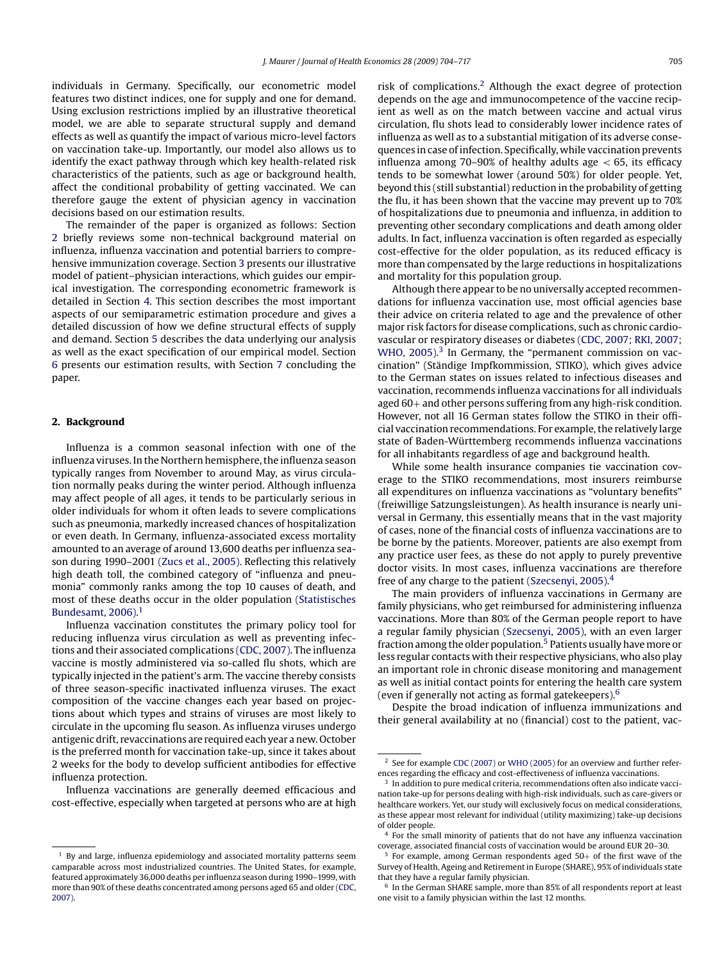individuals in Germany. Specifically, our econometric model features two distinct indices, one for supply and one for demand. Using exclusion restrictions implied by an illustrative theoretical model, we are able to separate structural supply and demand effects as well as quantify the impact of various micro-level factors on vaccination take-up. Importantly, our model also allows us to identify the exact pathway through which key health-related risk characteristics of the patients, such as age or background health, affect the conditional probability of getting vaccinated. We can therefore gauge the extent of physician agency in vaccination decisions based on our estimation results.

The remainder of the paper is organized as follows: Section 2 briefly reviews some non-technical background material on influenza, influenza vaccination and potential barriers to comprehensive immunization coverage. Section [3](#page--1-0) presents our illustrative model of patient–physician interactions, which guides our empirical investigation. The corresponding econometric framework is detailed in Section [4.](#page--1-0) This section describes the most important aspects of our semiparametric estimation procedure and gives a detailed discussion of how we define structural effects of supply and demand. Section [5](#page--1-0) describes the data underlying our analysis as well as the exact specification of our empirical model. Section [6](#page--1-0) presents our estimation results, with Section [7](#page--1-0) concluding the paper.

### **2. Background**

Influenza is a common seasonal infection with one of the influenza viruses. In the Northern hemisphere, the influenza season typically ranges from November to around May, as virus circulation normally peaks during the winter period. Although influenza may affect people of all ages, it tends to be particularly serious in older individuals for whom it often leads to severe complications such as pneumonia, markedly increased chances of hospitalization or even death. In Germany, influenza-associated excess mortality amounted to an average of around 13,600 deaths per influenza season during 1990–2001 [\(Zucs et al., 2005\). R](#page--1-0)eflecting this relatively high death toll, the combined category of "influenza and pneumonia" commonly ranks among the top 10 causes of death, and most of these deaths occur in the older population [\(Statistisches](#page--1-0) [Bundesamt, 2006\).](#page--1-0) 1

Influenza vaccination constitutes the primary policy tool for reducing influenza virus circulation as well as preventing infections and their associated complications [\(CDC, 2007\). T](#page--1-0)he influenza vaccine is mostly administered via so-called flu shots, which are typically injected in the patient's arm. The vaccine thereby consists of three season-specific inactivated influenza viruses. The exact composition of the vaccine changes each year based on projections about which types and strains of viruses are most likely to circulate in the upcoming flu season. As influenza viruses undergo antigenic drift, revaccinations are required each year a new. October is the preferred month for vaccination take-up, since it takes about 2 weeks for the body to develop sufficient antibodies for effective influenza protection.

Influenza vaccinations are generally deemed efficacious and cost-effective, especially when targeted at persons who are at high risk of complications.2 Although the exact degree of protection depends on the age and immunocompetence of the vaccine recipient as well as on the match between vaccine and actual virus circulation, flu shots lead to considerably lower incidence rates of influenza as well as to a substantial mitigation of its adverse consequences in case of infection. Specifically, while vaccination prevents influenza among 70–90% of healthy adults age  $<$  65, its efficacy tends to be somewhat lower (around 50%) for older people. Yet, beyond this (still substantial) reduction in the probability of getting the flu, it has been shown that the vaccine may prevent up to 70% of hospitalizations due to pneumonia and influenza, in addition to preventing other secondary complications and death among older adults. In fact, influenza vaccination is often regarded as especially cost-effective for the older population, as its reduced efficacy is more than compensated by the large reductions in hospitalizations and mortality for this population group.

Although there appear to be no universally accepted recommendations for influenza vaccination use, most official agencies base their advice on criteria related to age and the prevalence of other major risk factors for disease complications, such as chronic cardiovascular or respiratory diseases or diabetes [\(CDC, 2007; RKI, 2007;](#page--1-0) [WHO, 2005\).](#page--1-0)<sup>3</sup> In Germany, the "permanent commission on vaccination" (Ständige Impfkommission, STIKO), which gives advice to the German states on issues related to infectious diseases and vaccination, recommends influenza vaccinations for all individuals aged 60+ and other persons suffering from any high-risk condition. However, not all 16 German states follow the STIKO in their official vaccination recommendations. For example, the relatively large state of Baden-Württemberg recommends influenza vaccinations for all inhabitants regardless of age and background health.

While some health insurance companies tie vaccination coverage to the STIKO recommendations, most insurers reimburse all expenditures on influenza vaccinations as "voluntary benefits" (freiwillige Satzungsleistungen). As health insurance is nearly universal in Germany, this essentially means that in the vast majority of cases, none of the financial costs of influenza vaccinations are to be borne by the patients. Moreover, patients are also exempt from any practice user fees, as these do not apply to purely preventive doctor visits. In most cases, influenza vaccinations are therefore free of any charge to the patient [\(Szecsenyi, 2005\).](#page--1-0) 4

The main providers of influenza vaccinations in Germany are family physicians, who get reimbursed for administering influenza vaccinations. More than 80% of the German people report to have a regular family physician [\(Szecsenyi, 2005\), w](#page--1-0)ith an even larger fraction among the older population.<sup>5</sup> Patients usually have more or less regular contacts with their respective physicians, who also play an important role in chronic disease monitoring and management as well as initial contact points for entering the health care system (even if generally not acting as formal gatekeepers).6

Despite the broad indication of influenza immunizations and their general availability at no (financial) cost to the patient, vac-

 $1$  By and large, influenza epidemiology and associated mortality patterns seem camparable across most industrialized countries. The United States, for example, featured approximately 36,000 deaths per influenza season during 1990–1999, with more than 90% of these deaths concentrated among persons aged 65 and older [\(CDC,](#page--1-0) [2007\).](#page--1-0)

<sup>&</sup>lt;sup>2</sup> See for example [CDC \(2007\)](#page--1-0) or [WHO \(2005\)](#page--1-0) for an overview and further references regarding the efficacy and cost-effectiveness of influenza vaccinations.

<sup>3</sup> In addition to pure medical criteria, recommendations often also indicate vaccination take-up for persons dealing with high-risk individuals, such as care-givers or healthcare workers. Yet, our study will exclusively focus on medical considerations, as these appear most relevant for individual (utility maximizing) take-up decisions of older people.

<sup>4</sup> For the small minority of patients that do not have any influenza vaccination coverage, associated financial costs of vaccination would be around EUR 20–30.

For example, among German respondents aged  $50+$  of the first wave of the Survey of Health, Ageing and Retirement in Europe (SHARE), 95% of individuals state that they have a regular family physician.

<sup>6</sup> In the German SHARE sample, more than 85% of all respondents report at least one visit to a family physician within the last 12 months.